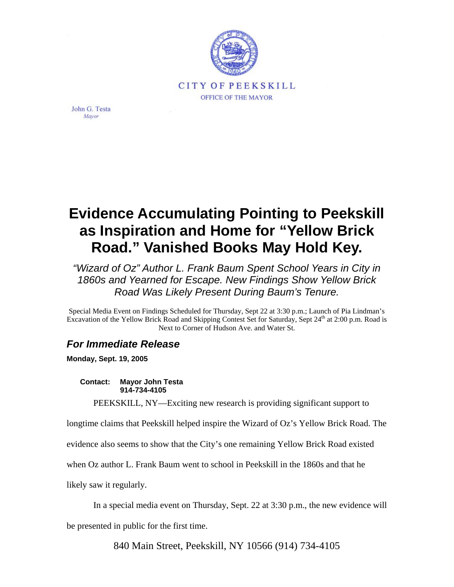

John G. Testa Mayor

## **Evidence Accumulating Pointing to Peekskill as Inspiration and Home for "Yellow Brick Road." Vanished Books May Hold Key.**

*"Wizard of Oz" Author L. Frank Baum Spent School Years in City in 1860s and Yearned for Escape. New Findings Show Yellow Brick Road Was Likely Present During Baum's Tenure.* 

Special Media Event on Findings Scheduled for Thursday, Sept 22 at 3:30 p.m.; Launch of Pia Lindman's Excavation of the Yellow Brick Road and Skipping Contest Set for Saturday, Sept 24<sup>th</sup> at 2:00 p.m. Road is Next to Corner of Hudson Ave. and Water St.

## *For Immediate Release*

**Monday, Sept. 19, 2005** 

**Contact: Mayor John Testa 914-734-4105** 

PEEKSKILL, NY—Exciting new research is providing significant support to

longtime claims that Peekskill helped inspire the Wizard of Oz's Yellow Brick Road. The

evidence also seems to show that the City's one remaining Yellow Brick Road existed

when Oz author L. Frank Baum went to school in Peekskill in the 1860s and that he

likely saw it regularly.

In a special media event on Thursday, Sept. 22 at 3:30 p.m., the new evidence will

be presented in public for the first time.

840 Main Street, Peekskill, NY 10566 (914) 734-4105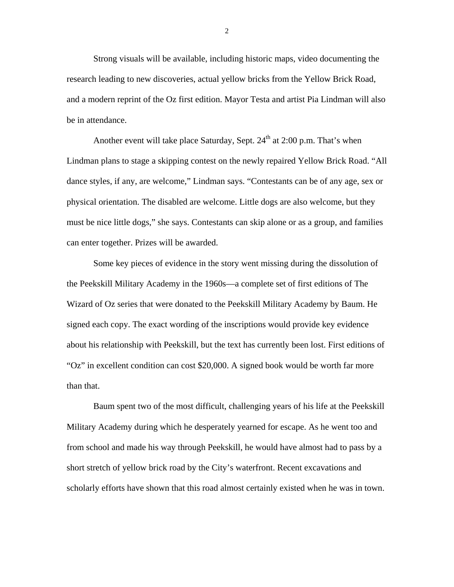Strong visuals will be available, including historic maps, video documenting the research leading to new discoveries, actual yellow bricks from the Yellow Brick Road, and a modern reprint of the Oz first edition. Mayor Testa and artist Pia Lindman will also be in attendance.

Another event will take place Saturday, Sept.  $24<sup>th</sup>$  at 2:00 p.m. That's when Lindman plans to stage a skipping contest on the newly repaired Yellow Brick Road. "All dance styles, if any, are welcome," Lindman says. "Contestants can be of any age, sex or physical orientation. The disabled are welcome. Little dogs are also welcome, but they must be nice little dogs," she says. Contestants can skip alone or as a group, and families can enter together. Prizes will be awarded.

Some key pieces of evidence in the story went missing during the dissolution of the Peekskill Military Academy in the 1960s—a complete set of first editions of The Wizard of Oz series that were donated to the Peekskill Military Academy by Baum. He signed each copy. The exact wording of the inscriptions would provide key evidence about his relationship with Peekskill, but the text has currently been lost. First editions of "Oz" in excellent condition can cost \$20,000. A signed book would be worth far more than that.

Baum spent two of the most difficult, challenging years of his life at the Peekskill Military Academy during which he desperately yearned for escape. As he went too and from school and made his way through Peekskill, he would have almost had to pass by a short stretch of yellow brick road by the City's waterfront. Recent excavations and scholarly efforts have shown that this road almost certainly existed when he was in town.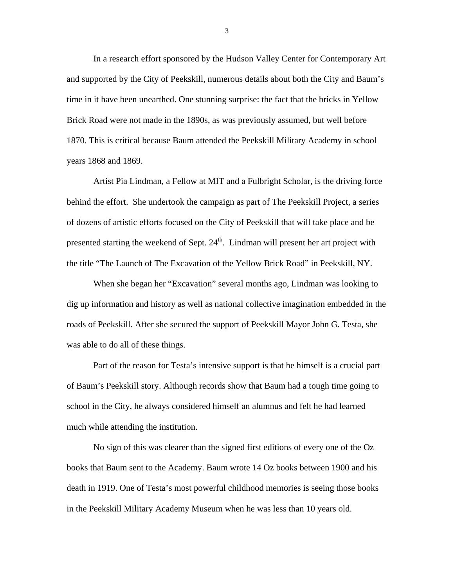In a research effort sponsored by the Hudson Valley Center for Contemporary Art and supported by the City of Peekskill, numerous details about both the City and Baum's time in it have been unearthed. One stunning surprise: the fact that the bricks in Yellow Brick Road were not made in the 1890s, as was previously assumed, but well before 1870. This is critical because Baum attended the Peekskill Military Academy in school years 1868 and 1869.

Artist Pia Lindman, a Fellow at MIT and a Fulbright Scholar, is the driving force behind the effort. She undertook the campaign as part of The Peekskill Project, a series of dozens of artistic efforts focused on the City of Peekskill that will take place and be presented starting the weekend of Sept. 24<sup>th</sup>. Lindman will present her art project with the title "The Launch of The Excavation of the Yellow Brick Road" in Peekskill, NY.

When she began her "Excavation" several months ago, Lindman was looking to dig up information and history as well as national collective imagination embedded in the roads of Peekskill. After she secured the support of Peekskill Mayor John G. Testa, she was able to do all of these things.

Part of the reason for Testa's intensive support is that he himself is a crucial part of Baum's Peekskill story. Although records show that Baum had a tough time going to school in the City, he always considered himself an alumnus and felt he had learned much while attending the institution.

No sign of this was clearer than the signed first editions of every one of the Oz books that Baum sent to the Academy. Baum wrote 14 Oz books between 1900 and his death in 1919. One of Testa's most powerful childhood memories is seeing those books in the Peekskill Military Academy Museum when he was less than 10 years old.

3